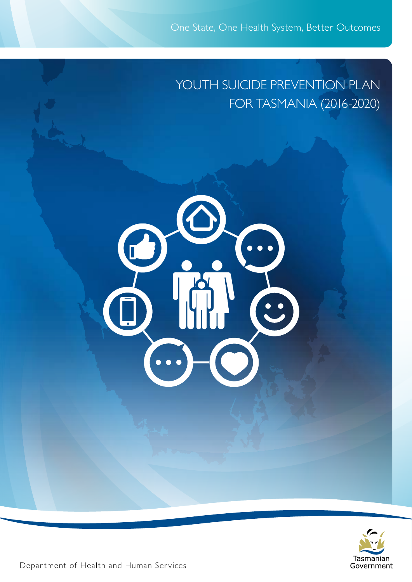# YOUTH SUICIDE PREVENTION PLAN FOR TASMANIA (2016-2020)





Department of Health and Human Services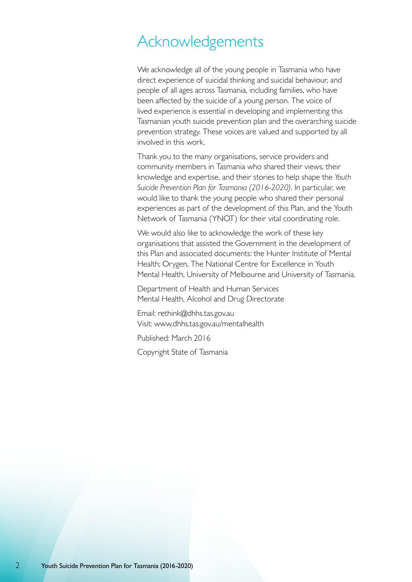## Acknowledgements

We acknowledge all of the young people in Tasmania who have direct experience of suicidal thinking and suicidal behaviour, and people of all ages across Tasmania, including families, who have been affected by the suicide of a young person. The voice of lived experience is essential in developing and implementing this Tasmanian youth suicide prevention plan and the overarching suicide prevention strategy. These voices are valued and supported by all involved in this work.

Thank you to the many organisations, service providers and community members in Tasmania who shared their views, their knowledge and expertise, and their stories to help shape the *Youth Suicide Prevention Plan for Tasmania (2016-2020)*. In particular, we would like to thank the young people who shared their personal experiences as part of the development of this Plan, and the Youth Network of Tasmania (YNOT) for their vital coordinating role.

We would also like to acknowledge the work of these key organisations that assisted the Government in the development of this Plan and associated documents: the Hunter Institute of Mental Health; Orygen, The National Centre for Excellence in Youth Mental Health, University of Melbourne and University of Tasmania.

Department of Health and Human Services Mental Health, Alcohol and Drug Directorate

Email: rethink@dhhs.tas.gov.au Visit: www.dhhs.tas.gov.au/mentalhealth

Published: March 2016

Copyright State of Tasmania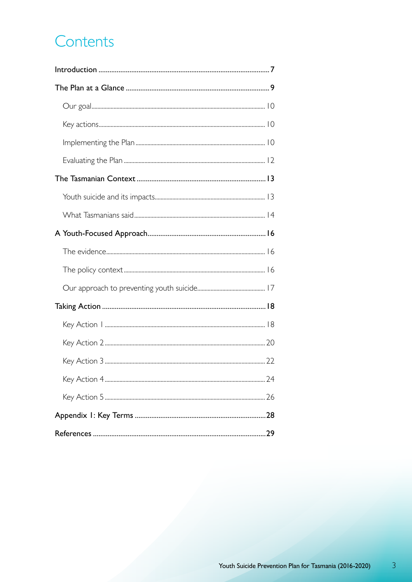# Contents

 $\overline{3}$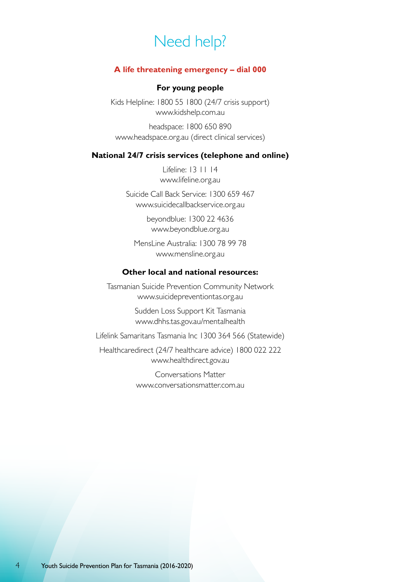# Need help?

#### **A life threatening emergency – dial 000**

#### **For young people**

Kids Helpline: 1800 55 1800 (24/7 crisis support) www.kidshelp.com.au

headspace: 1800 650 890 www.headspace.org.au (direct clinical services)

#### **National 24/7 crisis services (telephone and online)**

Lifeline: 13 11 14 www.lifeline.org.au

Suicide Call Back Service: 1300 659 467 www.suicidecallbackservice.org.au

> beyondblue: 1300 22 4636 www.beyondblue.org.au

MensLine Australia: 1300 78 99 78 www.mensline.org.au

#### **Other local and national resources:**

Tasmanian Suicide Prevention Community Network www.suicidepreventiontas.org.au

> Sudden Loss Support Kit Tasmania www.dhhs.tas.gov.au/mentalhealth

Lifelink Samaritans Tasmania Inc 1300 364 566 (Statewide)

Healthcaredirect (24/7 healthcare advice) 1800 022 222 www.healthdirect.gov.au

> Conversations Matter www.conversationsmatter.com.au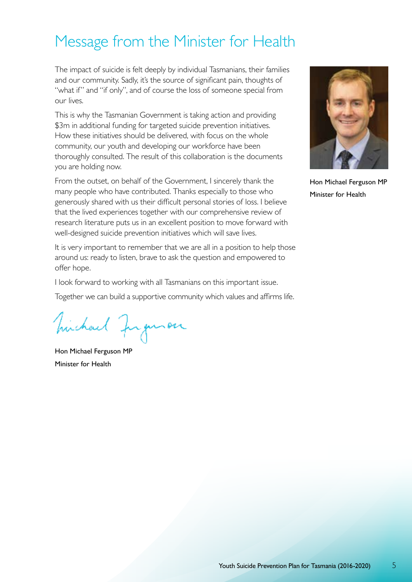# Message from the Minister for Health

The impact of suicide is felt deeply by individual Tasmanians, their families and our community. Sadly, it's the source of significant pain, thoughts of "what if" and "if only", and of course the loss of someone special from our lives.

This is why the Tasmanian Government is taking action and providing \$3m in additional funding for targeted suicide prevention initiatives. How these initiatives should be delivered, with focus on the whole community, our youth and developing our workforce have been thoroughly consulted. The result of this collaboration is the documents you are holding now.

From the outset, on behalf of the Government, I sincerely thank the many people who have contributed. Thanks especially to those who generously shared with us their difficult personal stories of loss. I believe that the lived experiences together with our comprehensive review of research literature puts us in an excellent position to move forward with well-designed suicide prevention initiatives which will save lives.

It is very important to remember that we are all in a position to help those around us: ready to listen, brave to ask the question and empowered to offer hope.

I look forward to working with all Tasmanians on this important issue.

Together we can build a supportive community which values and affirms life.

michael Juguron

Hon Michael Ferguson MP Minister for Health



Hon Michael Ferguson MP Minister for Health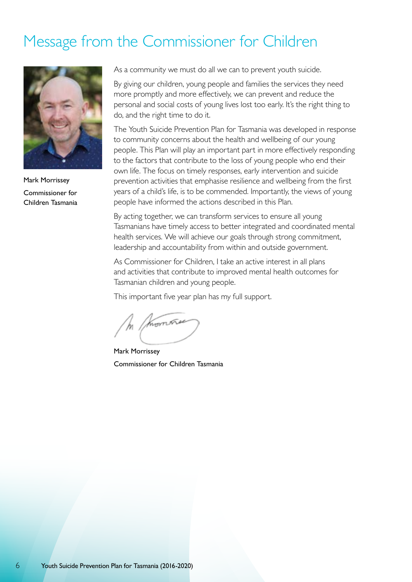# Message from the Commissioner for Children



Mark Morrissey Commissioner for Children Tasmania

As a community we must do all we can to prevent youth suicide.

By giving our children, young people and families the services they need more promptly and more effectively, we can prevent and reduce the personal and social costs of young lives lost too early. It's the right thing to do, and the right time to do it.

The Youth Suicide Prevention Plan for Tasmania was developed in response to community concerns about the health and wellbeing of our young people. This Plan will play an important part in more effectively responding to the factors that contribute to the loss of young people who end their own life. The focus on timely responses, early intervention and suicide prevention activities that emphasise resilience and wellbeing from the first years of a child's life, is to be commended. Importantly, the views of young people have informed the actions described in this Plan.

By acting together, we can transform services to ensure all young Tasmanians have timely access to better integrated and coordinated mental health services. We will achieve our goals through strong commitment, leadership and accountability from within and outside government.

As Commissioner for Children, I take an active interest in all plans and activities that contribute to improved mental health outcomes for Tasmanian children and young people.

This important five year plan has my full support.

morron

Mark Morrissey Commissioner for Children Tasmania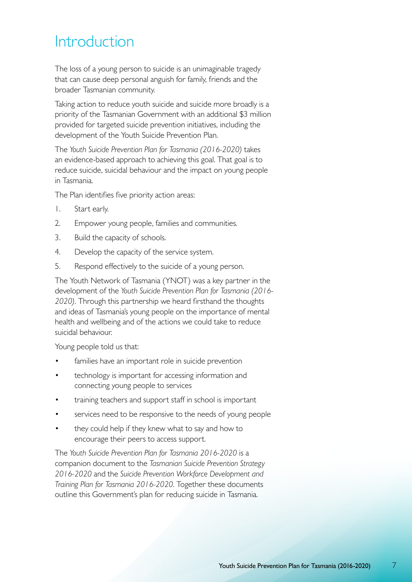# Introduction

The loss of a young person to suicide is an unimaginable tragedy that can cause deep personal anguish for family, friends and the broader Tasmanian community.

Taking action to reduce youth suicide and suicide more broadly is a priority of the Tasmanian Government with an additional \$3 million provided for targeted suicide prevention initiatives, including the development of the Youth Suicide Prevention Plan.

The *Youth Suicide Prevention Plan for Tasmania (2016-2020)* takes an evidence-based approach to achieving this goal. That goal is to reduce suicide, suicidal behaviour and the impact on young people in Tasmania.

The Plan identifies five priority action areas:

- 1. Start early.
- 2. Empower young people, families and communities.
- 3. Build the capacity of schools.
- 4. Develop the capacity of the service system.
- 5. Respond effectively to the suicide of a young person.

The Youth Network of Tasmania (YNOT) was a key partner in the development of the *Youth Suicide Prevention Plan for Tasmania (2016- 2020)*. Through this partnership we heard firsthand the thoughts and ideas of Tasmania's young people on the importance of mental health and wellbeing and of the actions we could take to reduce suicidal behaviour.

Young people told us that:

- families have an important role in suicide prevention
- technology is important for accessing information and connecting young people to services
- training teachers and support staff in school is important
- services need to be responsive to the needs of young people
- they could help if they knew what to say and how to encourage their peers to access support.

The *Youth Suicide Prevention Plan for Tasmania 2016-2020* is a companion document to the *Tasmanian Suicide Prevention Strategy 2016-2020* and the *Suicide Prevention Workforce Development and Training Plan for Tasmania 2016-2020*. Together these documents outline this Government's plan for reducing suicide in Tasmania.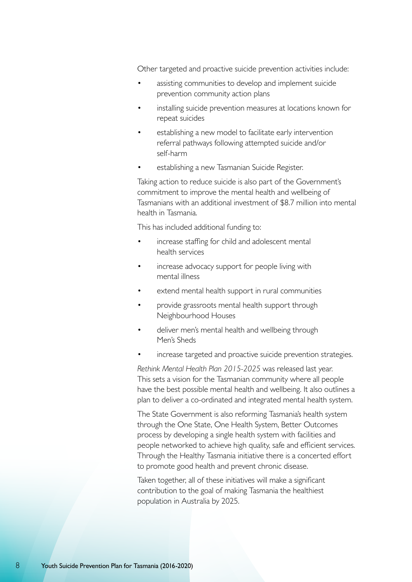Other targeted and proactive suicide prevention activities include:

- assisting communities to develop and implement suicide prevention community action plans
- installing suicide prevention measures at locations known for repeat suicides
- establishing a new model to facilitate early intervention referral pathways following attempted suicide and/or self-harm
- establishing a new Tasmanian Suicide Register.

Taking action to reduce suicide is also part of the Government's commitment to improve the mental health and wellbeing of Tasmanians with an additional investment of \$8.7 million into mental health in Tasmania.

This has included additional funding to:

- increase staffing for child and adolescent mental health services
- increase advocacy support for people living with mental illness
- extend mental health support in rural communities
- provide grassroots mental health support through Neighbourhood Houses
- deliver men's mental health and wellbeing through Men's Sheds
- increase targeted and proactive suicide prevention strategies.

*Rethink Mental Health Plan 2015-2025* was released last year. This sets a vision for the Tasmanian community where all people have the best possible mental health and wellbeing. It also outlines a plan to deliver a co-ordinated and integrated mental health system.

The State Government is also reforming Tasmania's health system through the One State, One Health System, Better Outcomes process by developing a single health system with facilities and people networked to achieve high quality, safe and efficient services. Through the Healthy Tasmania initiative there is a concerted effort to promote good health and prevent chronic disease.

Taken together, all of these initiatives will make a significant contribution to the goal of making Tasmania the healthiest population in Australia by 2025.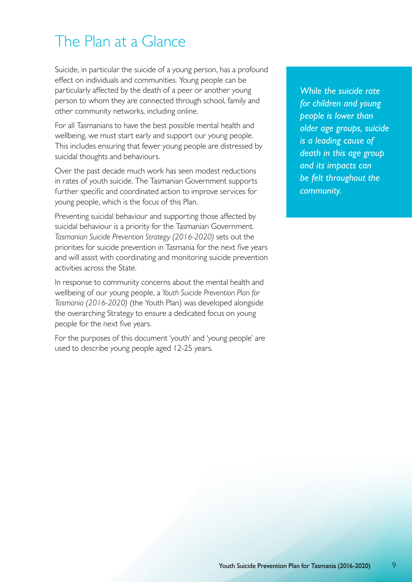# The Plan at a Glance

Suicide, in particular the suicide of a young person, has a profound effect on individuals and communities. Young people can be particularly affected by the death of a peer or another young person to whom they are connected through school, family and other community networks, including online.

For all Tasmanians to have the best possible mental health and wellbeing, we must start early and support our young people. This includes ensuring that fewer young people are distressed by suicidal thoughts and behaviours.

Over the past decade much work has seen modest reductions in rates of youth suicide. The Tasmanian Government supports further specific and coordinated action to improve services for young people, which is the focus of this Plan.

Preventing suicidal behaviour and supporting those affected by suicidal behaviour is a priority for the Tasmanian Government. *Tasmanian Suicide Prevention Strategy (2016-2020)* sets out the priorities for suicide prevention in Tasmania for the next five years and will assist with coordinating and monitoring suicide prevention activities across the State.

In response to community concerns about the mental health and wellbeing of our young people, a *Youth Suicide Prevention Plan for Tasmania (2016-2020)* (the Youth Plan) was developed alongside the overarching Strategy to ensure a dedicated focus on young people for the next five years.

For the purposes of this document 'youth' and 'young people' are used to describe young people aged 12-25 years.

*While the suicide rate for children and young people is lower than older age groups, suicide is a leading cause of death in this age group and its impacts can be felt throughout the community.*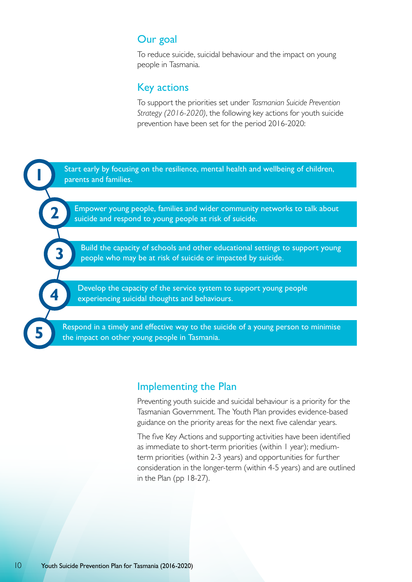### Our goal

To reduce suicide, suicidal behaviour and the impact on young people in Tasmania.

#### Key actions

To support the priorities set under *Tasmanian Suicide Prevention Strategy (2016-2020)*, the following key actions for youth suicide prevention have been set for the period 2016-2020:



#### Implementing the Plan

Preventing youth suicide and suicidal behaviour is a priority for the Tasmanian Government. The Youth Plan provides evidence-based guidance on the priority areas for the next five calendar years.

The five Key Actions and supporting activities have been identified as immediate to short-term priorities (within 1 year); mediumterm priorities (within 2-3 years) and opportunities for further consideration in the longer-term (within 4-5 years) and are outlined in the Plan (pp 18-27).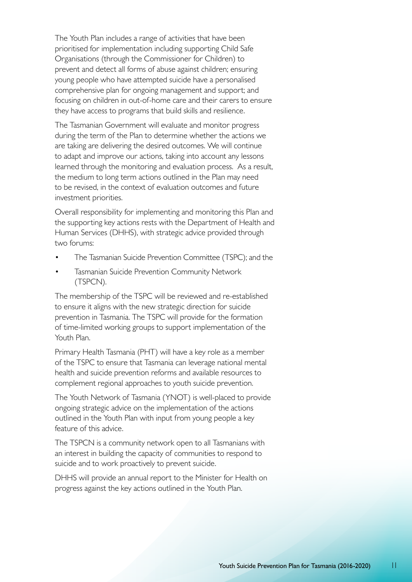The Youth Plan includes a range of activities that have been prioritised for implementation including supporting Child Safe Organisations (through the Commissioner for Children) to prevent and detect all forms of abuse against children; ensuring young people who have attempted suicide have a personalised comprehensive plan for ongoing management and support; and focusing on children in out-of-home care and their carers to ensure they have access to programs that build skills and resilience.

The Tasmanian Government will evaluate and monitor progress during the term of the Plan to determine whether the actions we are taking are delivering the desired outcomes. We will continue to adapt and improve our actions, taking into account any lessons learned through the monitoring and evaluation process. As a result, the medium to long term actions outlined in the Plan may need to be revised, in the context of evaluation outcomes and future investment priorities.

Overall responsibility for implementing and monitoring this Plan and the supporting key actions rests with the Department of Health and Human Services (DHHS), with strategic advice provided through two forums:

- The Tasmanian Suicide Prevention Committee (TSPC); and the
- **Tasmanian Suicide Prevention Community Network** (TSPCN).

The membership of the TSPC will be reviewed and re-established to ensure it aligns with the new strategic direction for suicide prevention in Tasmania. The TSPC will provide for the formation of time-limited working groups to support implementation of the Youth Plan.

Primary Health Tasmania (PHT) will have a key role as a member of the TSPC to ensure that Tasmania can leverage national mental health and suicide prevention reforms and available resources to complement regional approaches to youth suicide prevention.

The Youth Network of Tasmania (YNOT) is well-placed to provide ongoing strategic advice on the implementation of the actions outlined in the Youth Plan with input from young people a key feature of this advice.

The TSPCN is a community network open to all Tasmanians with an interest in building the capacity of communities to respond to suicide and to work proactively to prevent suicide.

DHHS will provide an annual report to the Minister for Health on progress against the key actions outlined in the Youth Plan.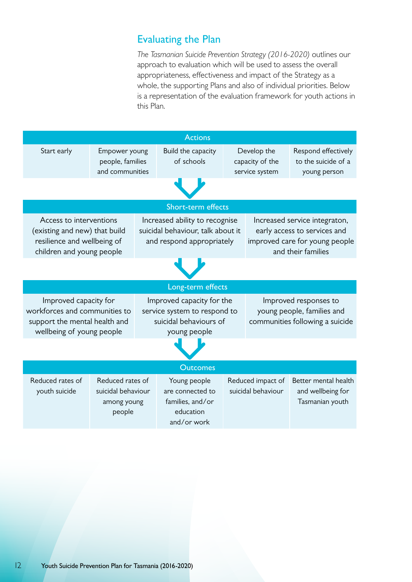## Evaluating the Plan

*The Tasmanian Suicide Prevention Strategy (2016-2020)* outlines our approach to evaluation which will be used to assess the overall appropriateness, effectiveness and impact of the Strategy as a whole, the supporting Plans and also of individual priorities. Below is a representation of the evaluation framework for youth actions in this Plan.

|                                                                                                                      |                                                                 |                                                                                                     | <b>Actions</b>                                                                   |                                                                                        |                                                                                                                       |                                                              |
|----------------------------------------------------------------------------------------------------------------------|-----------------------------------------------------------------|-----------------------------------------------------------------------------------------------------|----------------------------------------------------------------------------------|----------------------------------------------------------------------------------------|-----------------------------------------------------------------------------------------------------------------------|--------------------------------------------------------------|
| Start early                                                                                                          | Empower young<br>people, families<br>and communities            |                                                                                                     | Build the capacity<br>of schools                                                 |                                                                                        | Develop the<br>capacity of the<br>service system                                                                      | Respond effectively<br>to the suicide of a<br>young person   |
|                                                                                                                      |                                                                 |                                                                                                     |                                                                                  |                                                                                        |                                                                                                                       |                                                              |
|                                                                                                                      |                                                                 |                                                                                                     | Short-term effects                                                               |                                                                                        |                                                                                                                       |                                                              |
| Access to interventions<br>(existing and new) that build<br>resilience and wellbeing of<br>children and young people |                                                                 | Increased ability to recognise<br>suicidal behaviour, talk about it<br>and respond appropriately    |                                                                                  |                                                                                        | Increased service integraton,<br>early access to services and<br>improved care for young people<br>and their families |                                                              |
|                                                                                                                      |                                                                 |                                                                                                     |                                                                                  |                                                                                        |                                                                                                                       |                                                              |
| Long-term effects                                                                                                    |                                                                 |                                                                                                     |                                                                                  |                                                                                        |                                                                                                                       |                                                              |
| Improved capacity for<br>workforces and communities to<br>support the mental health and<br>wellbeing of young people |                                                                 | Improved capacity for the<br>service system to respond to<br>suicidal behaviours of<br>young people |                                                                                  | Improved responses to<br>young people, families and<br>communities following a suicide |                                                                                                                       |                                                              |
|                                                                                                                      |                                                                 |                                                                                                     |                                                                                  |                                                                                        |                                                                                                                       |                                                              |
| <b>Outcomes</b>                                                                                                      |                                                                 |                                                                                                     |                                                                                  |                                                                                        |                                                                                                                       |                                                              |
| Reduced rates of<br>youth suicide                                                                                    | Reduced rates of<br>suicidal behaviour<br>among young<br>people |                                                                                                     | Young people<br>are connected to<br>families, and/or<br>education<br>and/or work |                                                                                        | Reduced impact of<br>suicidal behaviour                                                                               | Better mental health<br>and wellbeing for<br>Tasmanian youth |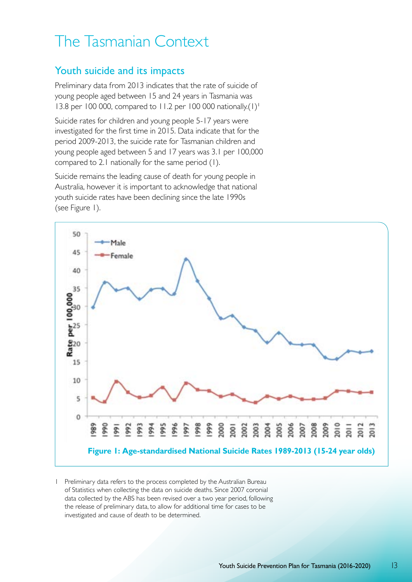# The Tasmanian Context

### Youth suicide and its impacts

Preliminary data from 2013 indicates that the rate of suicide of young people aged between 15 and 24 years in Tasmania was 13.8 per 100 000, compared to 11.2 per 100 000 nationally.(1)<sup>1</sup>

Suicide rates for children and young people 5-17 years were investigated for the first time in 2015. Data indicate that for the period 2009-2013, the suicide rate for Tasmanian children and young people aged between 5 and 17 years was 3.1 per 100,000 compared to 2.1 nationally for the same period (1).

Suicide remains the leading cause of death for young people in Australia, however it is important to acknowledge that national youth suicide rates have been declining since the late 1990s (see Figure 1).



1 Preliminary data refers to the process completed by the Australian Bureau of Statistics when collecting the data on suicide deaths. Since 2007 coronial data collected by the ABS has been revised over a two year period, following the release of preliminary data, to allow for additional time for cases to be investigated and cause of death to be determined.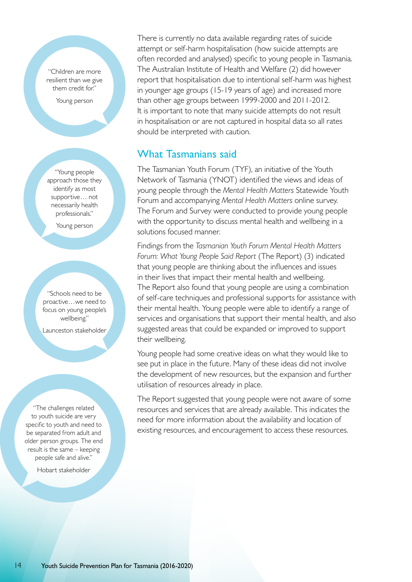"Children are more resilient than we give them credit for."

Young person

"Young people approach those they identify as most supportive… not necessarily health professionals."

Young person

"Schools need to be proactive…we need to focus on young people's wellbeing."

Launceston stakeholder

"The challenges related to youth suicide are very specific to youth and need to be separated from adult and older person groups. The end result is the same – keeping people safe and alive."

Hobart stakeholder

There is currently no data available regarding rates of suicide attempt or self-harm hospitalisation (how suicide attempts are often recorded and analysed) specific to young people in Tasmania. The Australian Institute of Health and Welfare (2) did however report that hospitalisation due to intentional self-harm was highest in younger age groups (15-19 years of age) and increased more than other age groups between 1999-2000 and 2011-2012. It is important to note that many suicide attempts do not result in hospitalisation or are not captured in hospital data so all rates should be interpreted with caution.

## What Tasmanians said

The Tasmanian Youth Forum (TYF), an initiative of the Youth Network of Tasmania (YNOT) identified the views and ideas of young people through the *Mental Health Matters* Statewide Youth Forum and accompanying *Mental Health Matters* online survey. The Forum and Survey were conducted to provide young people with the opportunity to discuss mental health and wellbeing in a solutions focused manner.

Findings from the *Tasmanian Youth Forum Mental Health Matters Forum: What Young People Said Report* (The Report) (3) indicated that young people are thinking about the influences and issues in their lives that impact their mental health and wellbeing. The Report also found that young people are using a combination of self-care techniques and professional supports for assistance with their mental health. Young people were able to identify a range of services and organisations that support their mental health, and also suggested areas that could be expanded or improved to support their wellbeing.

Young people had some creative ideas on what they would like to see put in place in the future. Many of these ideas did not involve the development of new resources, but the expansion and further utilisation of resources already in place.

The Report suggested that young people were not aware of some resources and services that are already available. This indicates the need for more information about the availability and location of existing resources, and encouragement to access these resources.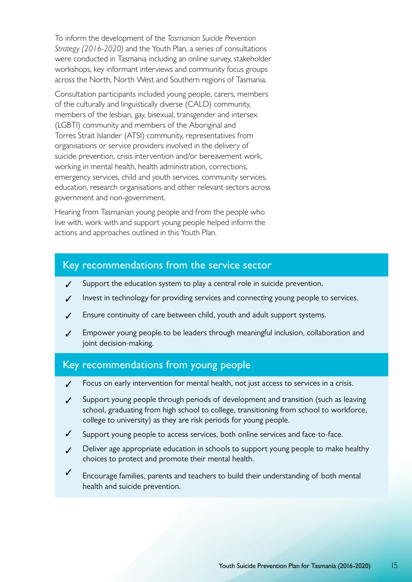To inform the development of the *Tasmanian Suicide Prevention Strategy (2016-2020)* and the Youth Plan, a series of consultations were conducted in Tasmania including an online survey, stakeholder workshops, key informant interviews and community focus groups across the North, North West and Southern regions of Tasmania.

Consultation participants included young people, carers, members of the culturally and linguistically diverse (CALD) community, members of the lesbian, gay, bisexual, transgender and intersex (LGBTI) community and members of the Aboriginal and Torres Strait Islander (ATSI) community, representatives from organisations or service providers involved in the delivery of suicide prevention, crisis intervention and/or bereavement work, working in mental health, health administration, corrections, emergency services, child and youth services, community services, education, research organisations and other relevant sectors across government and non-government.

Hearing from Tasmanian young people and from the people who live with, work with and support young people helped inform the actions and approaches outlined in this Youth Plan.

#### Key recommendations from the service sector

- ✓ Support the education system to play a central role in suicide prevention.
- ✓ Invest in technology for providing services and connecting young people to services.
- ✓ Ensure continuity of care between child, youth and adult support systems.
- ✓ Empower young people to be leaders through meaningful inclusion, collaboration and joint decision-making.

#### Key recommendations from young people

- Focus on early intervention for mental health, not just access to services in a crisis.
- ✓ Support young people through periods of development and transition (such as leaving school, graduating from high school to college, transitioning from school to workforce, college to university) as they are risk periods for young people.
- ✓ Support young people to access services, both online services and face-to-face.
- ✓ Deliver age appropriate education in schools to support young people to make healthy choices to protect and promote their mental health.
- ✓ Encourage families, parents and teachers to build their understanding of both mental health and suicide prevention.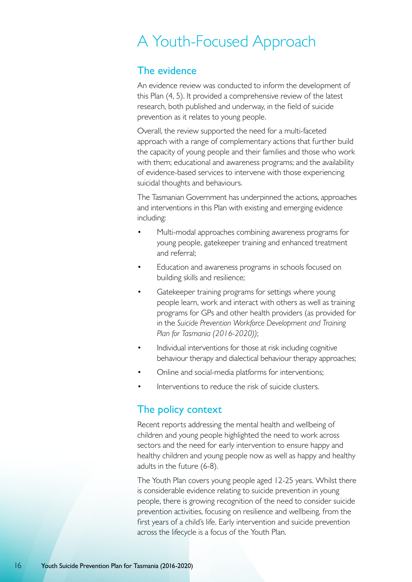# A Youth-Focused Approach

## The evidence

An evidence review was conducted to inform the development of this Plan (4, 5). It provided a comprehensive review of the latest research, both published and underway, in the field of suicide prevention as it relates to young people.

Overall, the review supported the need for a multi-faceted approach with a range of complementary actions that further build the capacity of young people and their families and those who work with them; educational and awareness programs; and the availability of evidence-based services to intervene with those experiencing suicidal thoughts and behaviours.

The Tasmanian Government has underpinned the actions, approaches and interventions in this Plan with existing and emerging evidence including:

- Multi-modal approaches combining awareness programs for young people, gatekeeper training and enhanced treatment and referral;
- Education and awareness programs in schools focused on building skills and resilience;
- Gatekeeper training programs for settings where young people learn, work and interact with others as well as training programs for GPs and other health providers (as provided for in the *Suicide Prevention Workforce Development and Training Plan for Tasmania (2016-2020))*;
- Individual interventions for those at risk including cognitive behaviour therapy and dialectical behaviour therapy approaches;
- Online and social-media platforms for interventions;
- Interventions to reduce the risk of suicide clusters.

## The policy context

Recent reports addressing the mental health and wellbeing of children and young people highlighted the need to work across sectors and the need for early intervention to ensure happy and healthy children and young people now as well as happy and healthy adults in the future (6-8).

The Youth Plan covers young people aged 12-25 years. Whilst there is considerable evidence relating to suicide prevention in young people, there is growing recognition of the need to consider suicide prevention activities, focusing on resilience and wellbeing, from the first years of a child's life. Early intervention and suicide prevention across the lifecycle is a focus of the Youth Plan.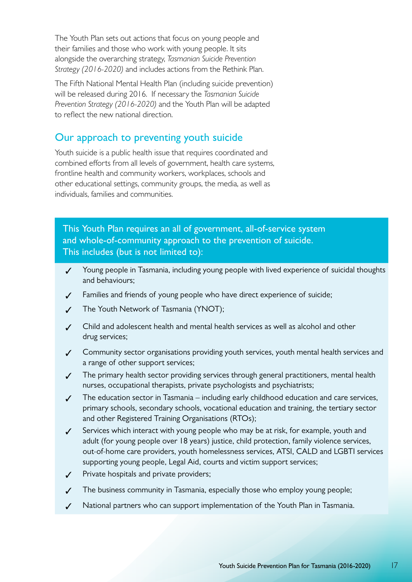The Youth Plan sets out actions that focus on young people and their families and those who work with young people. It sits alongside the overarching strategy, *Tasmanian Suicide Prevention Strategy (2016-2020)* and includes actions from the Rethink Plan.

The Fifth National Mental Health Plan (including suicide prevention) will be released during 2016. If necessary the *Tasmanian Suicide Prevention Strategy (2016-2020)* and the Youth Plan will be adapted to reflect the new national direction.

### Our approach to preventing youth suicide

Youth suicide is a public health issue that requires coordinated and combined efforts from all levels of government, health care systems, frontline health and community workers, workplaces, schools and other educational settings, community groups, the media, as well as individuals, families and communities.

This Youth Plan requires an all of government, all-of-service system and whole-of-community approach to the prevention of suicide. This includes (but is not limited to):

- ✓ Young people in Tasmania, including young people with lived experience of suicidal thoughts and behaviours;
- ✓ Families and friends of young people who have direct experience of suicide;
- ✓ The Youth Network of Tasmania (YNOT);
- ✓ Child and adolescent health and mental health services as well as alcohol and other drug services;
- ✓ Community sector organisations providing youth services, youth mental health services and a range of other support services;
- ✓ The primary health sector providing services through general practitioners, mental health nurses, occupational therapists, private psychologists and psychiatrists;
- ✓ The education sector in Tasmania including early childhood education and care services, primary schools, secondary schools, vocational education and training, the tertiary sector and other Registered Training Organisations (RTOs);
- ✓ Services which interact with young people who may be at risk, for example, youth and adult (for young people over 18 years) justice, child protection, family violence services, out-of-home care providers, youth homelessness services, ATSI, CALD and LGBTI services supporting young people, Legal Aid, courts and victim support services;
- ✓ Private hospitals and private providers;
- ✓ The business community in Tasmania, especially those who employ young people;
- National partners who can support implementation of the Youth Plan in Tasmania.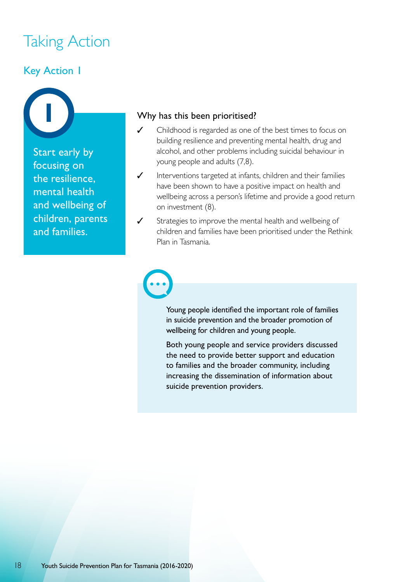# Taking Action

## Key Action 1

Start early by focusing on the resilience, mental health and wellbeing of children, parents and families.

#### Why has this been prioritised?

- ✓ Childhood is regarded as one of the best times to focus on building resilience and preventing mental health, drug and alcohol, and other problems including suicidal behaviour in young people and adults (7,8).
- ✓ Interventions targeted at infants, children and their families have been shown to have a positive impact on health and wellbeing across a person's lifetime and provide a good return on investment (8).
- Strategies to improve the mental health and wellbeing of children and families have been prioritised under the Rethink Plan in Tasmania.

Young people identified the important role of families in suicide prevention and the broader promotion of wellbeing for children and young people.

Both young people and service providers discussed the need to provide better support and education to families and the broader community, including increasing the dissemination of information about suicide prevention providers.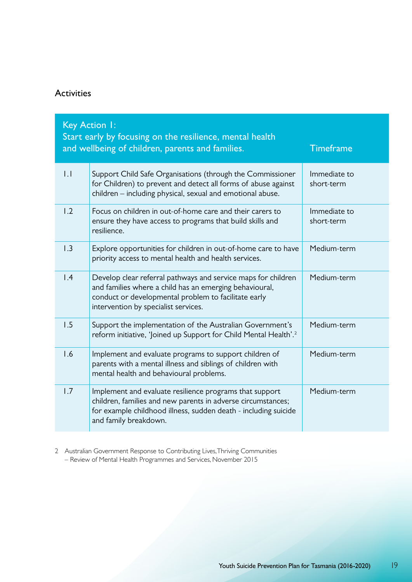## Activities

|                  | Key Action I:<br>Start early by focusing on the resilience, mental health<br>and wellbeing of children, parents and families.                                                                                            | <b>Timeframe</b>           |
|------------------|--------------------------------------------------------------------------------------------------------------------------------------------------------------------------------------------------------------------------|----------------------------|
| 1.1              | Support Child Safe Organisations (through the Commissioner<br>for Children) to prevent and detect all forms of abuse against<br>children - including physical, sexual and emotional abuse.                               | Immediate to<br>short-term |
| 1.2              | Focus on children in out-of-home care and their carers to<br>ensure they have access to programs that build skills and<br>resilience.                                                                                    | Immediate to<br>short-term |
| $\overline{1.3}$ | Explore opportunities for children in out-of-home care to have<br>priority access to mental health and health services.                                                                                                  | Medium-term                |
| $\overline{1.4}$ | Develop clear referral pathways and service maps for children<br>and families where a child has an emerging behavioural,<br>conduct or developmental problem to facilitate early<br>intervention by specialist services. | Medium-term                |
| 1.5              | Support the implementation of the Australian Government's<br>reform initiative, 'Joined up Support for Child Mental Health'. <sup>2</sup>                                                                                | Medium-term                |
| 1.6              | Implement and evaluate programs to support children of<br>parents with a mental illness and siblings of children with<br>mental health and behavioural problems.                                                         | Medium-term                |
| 1.7              | Implement and evaluate resilience programs that support<br>children, families and new parents in adverse circumstances;<br>for example childhood illness, sudden death - including suicide<br>and family breakdown.      | Medium-term                |

2 Australian Government Response to Contributing Lives, Thriving Communities – Review of Mental Health Programmes and Services, November 2015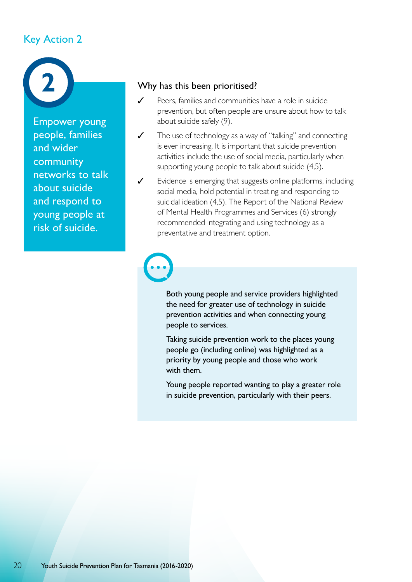## Key Action 2



Empower young people, families and wider community networks to talk about suicide and respond to young people at risk of suicide.

#### Why has this been prioritised?

- ✓ Peers, families and communities have a role in suicide prevention, but often people are unsure about how to talk about suicide safely (9).
- ✓ The use of technology as a way of "talking" and connecting is ever increasing. It is important that suicide prevention activities include the use of social media, particularly when supporting young people to talk about suicide (4,5).
- ✓ Evidence is emerging that suggests online platforms, including social media, hold potential in treating and responding to suicidal ideation (4,5). The Report of the National Review of Mental Health Programmes and Services (6) strongly recommended integrating and using technology as a preventative and treatment option.

Both young people and service providers highlighted the need for greater use of technology in suicide prevention activities and when connecting young people to services.

Taking suicide prevention work to the places young people go (including online) was highlighted as a priority by young people and those who work with them.

Young people reported wanting to play a greater role in suicide prevention, particularly with their peers.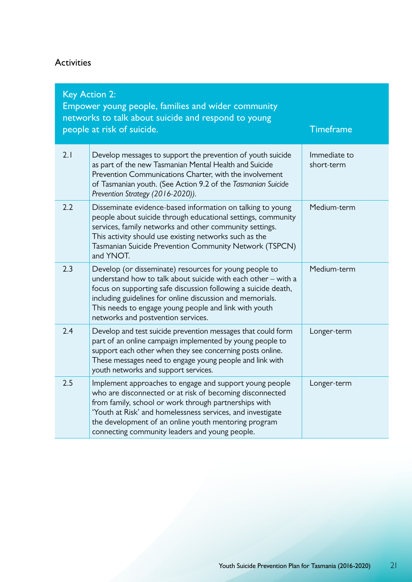### Activities

| <b>Key Action 2:</b><br>Empower young people, families and wider community<br>networks to talk about suicide and respond to young<br><b>Timeframe</b><br>people at risk of suicide. |                                                                                                                                                                                                                                                                                                                                                       |                            |  |
|-------------------------------------------------------------------------------------------------------------------------------------------------------------------------------------|-------------------------------------------------------------------------------------------------------------------------------------------------------------------------------------------------------------------------------------------------------------------------------------------------------------------------------------------------------|----------------------------|--|
| 2.1                                                                                                                                                                                 | Develop messages to support the prevention of youth suicide<br>as part of the new Tasmanian Mental Health and Suicide<br>Prevention Communications Charter, with the involvement<br>of Tasmanian youth. (See Action 9.2 of the Tasmanian Suicide<br>Prevention Strategy (2016-2020)).                                                                 | Immediate to<br>short-term |  |
| 2.2                                                                                                                                                                                 | Disseminate evidence-based information on talking to young<br>people about suicide through educational settings, community<br>services, family networks and other community settings.<br>This activity should use existing networks such as the<br>Tasmanian Suicide Prevention Community Network (TSPCN)<br>and YNOT.                                | Medium-term                |  |
| 2.3                                                                                                                                                                                 | Develop (or disseminate) resources for young people to<br>understand how to talk about suicide with each other – with a<br>focus on supporting safe discussion following a suicide death,<br>including guidelines for online discussion and memorials.<br>This needs to engage young people and link with youth<br>networks and postvention services. | Medium-term                |  |
| 2.4                                                                                                                                                                                 | Develop and test suicide prevention messages that could form<br>part of an online campaign implemented by young people to<br>support each other when they see concerning posts online.<br>These messages need to engage young people and link with<br>youth networks and support services.                                                            | Longer-term                |  |
| 2.5                                                                                                                                                                                 | Implement approaches to engage and support young people<br>who are disconnected or at risk of becoming disconnected<br>from family, school or work through partnerships with<br>'Youth at Risk' and homelessness services, and investigate<br>the development of an online youth mentoring program<br>connecting community leaders and young people.  | Longer-term                |  |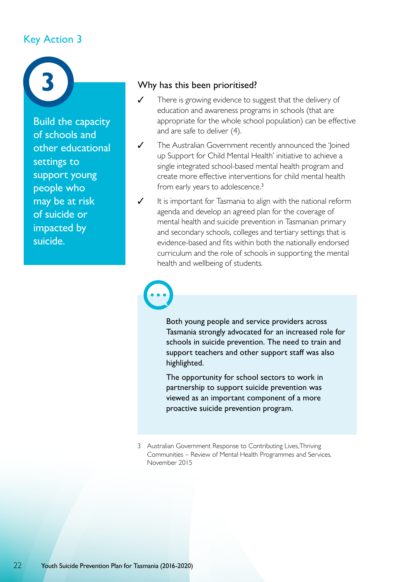## Key Action 3



Build the capacity of schools and other educational settings to support young people who may be at risk of suicide or impacted by suicide.

#### Why has this been prioritised?

- ✓ There is growing evidence to suggest that the delivery of education and awareness programs in schools (that are appropriate for the whole school population) can be effective and are safe to deliver (4).
- ✓ The Australian Government recently announced the 'Joined up Support for Child Mental Health' initiative to achieve a single integrated school-based mental health program and create more effective interventions for child mental health from early years to adolescence.<sup>3</sup>
- ✓ It is important for Tasmania to align with the national reform agenda and develop an agreed plan for the coverage of mental health and suicide prevention in Tasmanian primary and secondary schools, colleges and tertiary settings that is evidence-based and fits within both the nationally endorsed curriculum and the role of schools in supporting the mental health and wellbeing of students.

Both young people and service providers across Tasmania strongly advocated for an increased role for schools in suicide prevention. The need to train and support teachers and other support staff was also highlighted.

The opportunity for school sectors to work in partnership to support suicide prevention was viewed as an important component of a more proactive suicide prevention program.

3 Australian Government Response to Contributing Lives, Thriving Communities – Review of Mental Health Programmes and Services, November 2015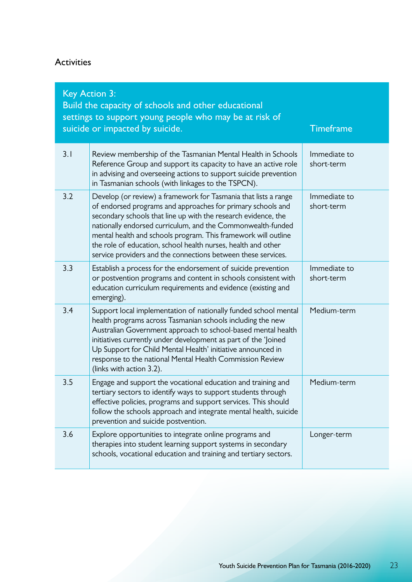### Activities

| <b>Key Action 3:</b><br>Build the capacity of schools and other educational<br>settings to support young people who may be at risk of<br>suicide or impacted by suicide.<br><b>Timeframe</b> |                                                                                                                                                                                                                                                                                                                                                                                                                                                                     |                            |  |  |
|----------------------------------------------------------------------------------------------------------------------------------------------------------------------------------------------|---------------------------------------------------------------------------------------------------------------------------------------------------------------------------------------------------------------------------------------------------------------------------------------------------------------------------------------------------------------------------------------------------------------------------------------------------------------------|----------------------------|--|--|
| 3.1                                                                                                                                                                                          | Review membership of the Tasmanian Mental Health in Schools<br>Reference Group and support its capacity to have an active role<br>in advising and overseeing actions to support suicide prevention<br>in Tasmanian schools (with linkages to the TSPCN).                                                                                                                                                                                                            | Immediate to<br>short-term |  |  |
| 3.2                                                                                                                                                                                          | Develop (or review) a framework for Tasmania that lists a range<br>of endorsed programs and approaches for primary schools and<br>secondary schools that line up with the research evidence, the<br>nationally endorsed curriculum, and the Commonwealth-funded<br>mental health and schools program. This framework will outline<br>the role of education, school health nurses, health and other<br>service providers and the connections between these services. | Immediate to<br>short-term |  |  |
| 3.3                                                                                                                                                                                          | Establish a process for the endorsement of suicide prevention<br>or postvention programs and content in schools consistent with<br>education curriculum requirements and evidence (existing and<br>emerging).                                                                                                                                                                                                                                                       | Immediate to<br>short-term |  |  |
| 3.4                                                                                                                                                                                          | Support local implementation of nationally funded school mental<br>health programs across Tasmanian schools including the new<br>Australian Government approach to school-based mental health<br>initiatives currently under development as part of the 'Joined<br>Up Support for Child Mental Health' initiative announced in<br>response to the national Mental Health Commission Review<br>(links with action 3.2).                                              | Medium-term                |  |  |
| 3.5                                                                                                                                                                                          | Engage and support the vocational education and training and<br>tertiary sectors to identify ways to support students through<br>effective policies, programs and support services. This should<br>follow the schools approach and integrate mental health, suicide<br>prevention and suicide postvention.                                                                                                                                                          | Medium-term                |  |  |
| 3.6                                                                                                                                                                                          | Explore opportunities to integrate online programs and<br>therapies into student learning support systems in secondary<br>schools, vocational education and training and tertiary sectors.                                                                                                                                                                                                                                                                          | Longer-term                |  |  |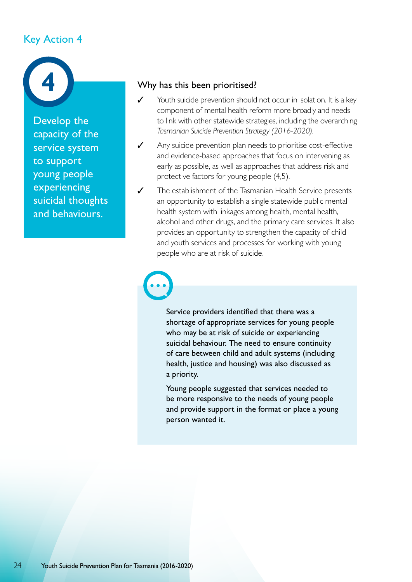## Key Action 4



Develop the capacity of the service system to support young people experiencing suicidal thoughts and behaviours.

#### Why has this been prioritised?

- ✓ Youth suicide prevention should not occur in isolation. It is a key component of mental health reform more broadly and needs to link with other statewide strategies, including the overarching *Tasmanian Suicide Prevention Strategy (2016-2020).*
- ✓ Any suicide prevention plan needs to prioritise cost-effective and evidence-based approaches that focus on intervening as early as possible, as well as approaches that address risk and protective factors for young people (4,5).
- ✓ The establishment of the Tasmanian Health Service presents an opportunity to establish a single statewide public mental health system with linkages among health, mental health, alcohol and other drugs, and the primary care services. It also provides an opportunity to strengthen the capacity of child and youth services and processes for working with young people who are at risk of suicide.

Service providers identified that there was a shortage of appropriate services for young people who may be at risk of suicide or experiencing suicidal behaviour. The need to ensure continuity of care between child and adult systems (including health, justice and housing) was also discussed as a priority.

Young people suggested that services needed to be more responsive to the needs of young people and provide support in the format or place a young person wanted it.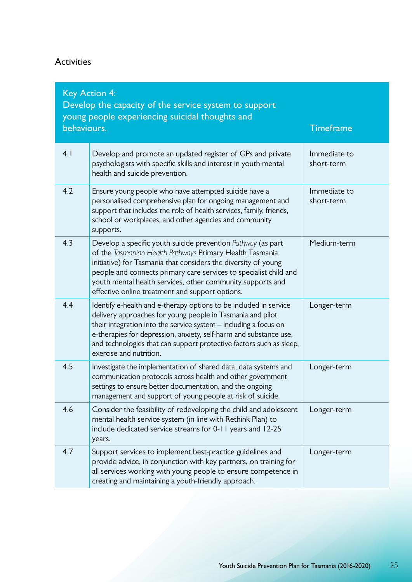#### Activities

| behaviours. | <b>Key Action 4:</b><br>Develop the capacity of the service system to support<br>young people experiencing suicidal thoughts and                                                                                                                                                                                                                                                 | <b>Timeframe</b>           |
|-------------|----------------------------------------------------------------------------------------------------------------------------------------------------------------------------------------------------------------------------------------------------------------------------------------------------------------------------------------------------------------------------------|----------------------------|
| 4.1         | Develop and promote an updated register of GPs and private<br>psychologists with specific skills and interest in youth mental<br>health and suicide prevention.                                                                                                                                                                                                                  | Immediate to<br>short-term |
| 4.2         | Ensure young people who have attempted suicide have a<br>personalised comprehensive plan for ongoing management and<br>support that includes the role of health services, family, friends,<br>school or workplaces, and other agencies and community<br>supports.                                                                                                                | Immediate to<br>short-term |
| 4.3         | Develop a specific youth suicide prevention Pathway (as part<br>of the Tasmanian Health Pathways Primary Health Tasmania<br>initiative) for Tasmania that considers the diversity of young<br>people and connects primary care services to specialist child and<br>youth mental health services, other community supports and<br>effective online treatment and support options. | Medium-term                |
| 4.4         | Identify e-health and e-therapy options to be included in service<br>delivery approaches for young people in Tasmania and pilot<br>their integration into the service system - including a focus on<br>e-therapies for depression, anxiety, self-harm and substance use,<br>and technologies that can support protective factors such as sleep,<br>exercise and nutrition.       | Longer-term                |
| 4.5         | Investigate the implementation of shared data, data systems and<br>communication protocols across health and other government<br>settings to ensure better documentation, and the ongoing<br>management and support of young people at risk of suicide.                                                                                                                          | Longer-term                |
| 4.6         | Consider the feasibility of redeveloping the child and adolescent<br>mental health service system (in line with Rethink Plan) to<br>include dedicated service streams for 0-11 years and 12-25<br>years.                                                                                                                                                                         | Longer-term                |
| 4.7         | Support services to implement best-practice guidelines and<br>provide advice, in conjunction with key partners, on training for<br>all services working with young people to ensure competence in<br>creating and maintaining a youth-friendly approach.                                                                                                                         | Longer-term                |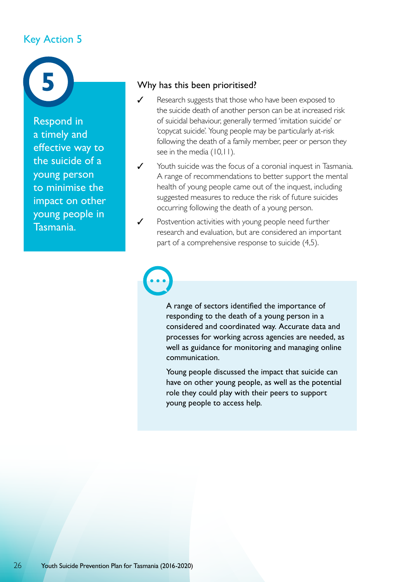## Key Action 5



Respond in a timely and effective way to the suicide of a young person to minimise the impact on other young people in Tasmania.

#### Why has this been prioritised?

- ✓ Research suggests that those who have been exposed to the suicide death of another person can be at increased risk of suicidal behaviour, generally termed 'imitation suicide' or 'copycat suicide'. Young people may be particularly at-risk following the death of a family member, peer or person they see in the media (10,11).
- ✓ Youth suicide was the focus of a coronial inquest in Tasmania. A range of recommendations to better support the mental health of young people came out of the inquest, including suggested measures to reduce the risk of future suicides occurring following the death of a young person.
- ✓ Postvention activities with young people need further research and evaluation, but are considered an important part of a comprehensive response to suicide (4,5).

A range of sectors identified the importance of responding to the death of a young person in a considered and coordinated way. Accurate data and processes for working across agencies are needed, as well as guidance for monitoring and managing online communication.

Young people discussed the impact that suicide can have on other young people, as well as the potential role they could play with their peers to support young people to access help.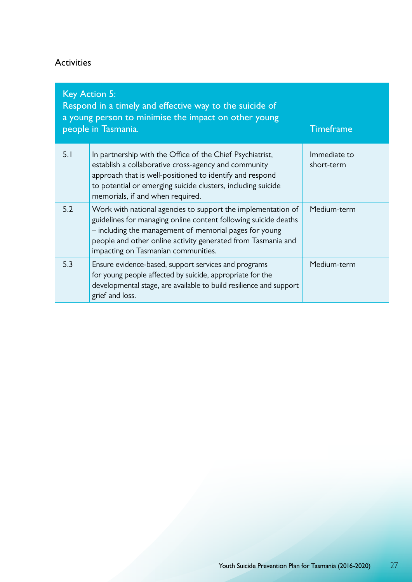## Activities

| <b>Key Action 5:</b><br>Respond in a timely and effective way to the suicide of<br>a young person to minimise the impact on other young<br>people in Tasmania.<br><b>Timeframe</b> |                                                                                                                                                                                                                                                                                                  |                            |  |
|------------------------------------------------------------------------------------------------------------------------------------------------------------------------------------|--------------------------------------------------------------------------------------------------------------------------------------------------------------------------------------------------------------------------------------------------------------------------------------------------|----------------------------|--|
| 5.1                                                                                                                                                                                | In partnership with the Office of the Chief Psychiatrist,<br>establish a collaborative cross-agency and community<br>approach that is well-positioned to identify and respond<br>to potential or emerging suicide clusters, including suicide<br>memorials, if and when required.                | Immediate to<br>short-term |  |
| 5.2                                                                                                                                                                                | Work with national agencies to support the implementation of<br>guidelines for managing online content following suicide deaths<br>- including the management of memorial pages for young<br>people and other online activity generated from Tasmania and<br>impacting on Tasmanian communities. | Medium-term                |  |
| 5.3                                                                                                                                                                                | Ensure evidence-based, support services and programs<br>for young people affected by suicide, appropriate for the<br>developmental stage, are available to build resilience and support<br>grief and loss.                                                                                       | Medium-term                |  |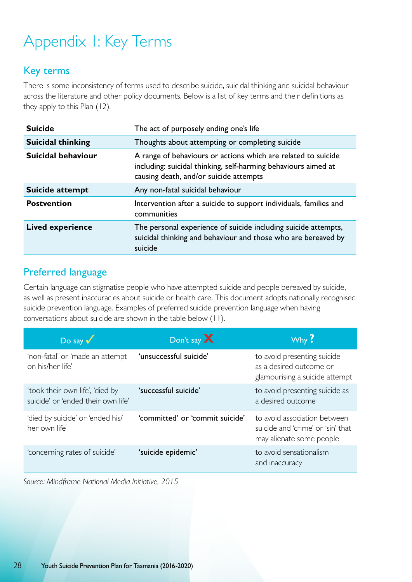# Appendix 1: Key Terms

## Key terms

There is some inconsistency of terms used to describe suicide, suicidal thinking and suicidal behaviour across the literature and other policy documents. Below is a list of key terms and their definitions as they apply to this Plan (12).

| <b>Suicide</b>           | The act of purposely ending one's life                                                                                                                                    |
|--------------------------|---------------------------------------------------------------------------------------------------------------------------------------------------------------------------|
| <b>Suicidal thinking</b> | Thoughts about attempting or completing suicide                                                                                                                           |
| Suicidal behaviour       | A range of behaviours or actions which are related to suicide<br>including: suicidal thinking, self-harming behaviours aimed at<br>causing death, and/or suicide attempts |
| Suicide attempt          | Any non-fatal suicidal behaviour                                                                                                                                          |
| <b>Postvention</b>       | Intervention after a suicide to support individuals, families and<br>communities                                                                                          |
| <b>Lived experience</b>  | The personal experience of suicide including suicide attempts,<br>suicidal thinking and behaviour and those who are bereaved by<br>suicide                                |

## Preferred language

Certain language can stigmatise people who have attempted suicide and people bereaved by suicide, as well as present inaccuracies about suicide or health care. This document adopts nationally recognised suicide prevention language. Examples of preferred suicide prevention language when having conversations about suicide are shown in the table below (11).

| $Do$ say $\sqrt{}$                                                    | Don't say X                     | Why?                                                                                          |
|-----------------------------------------------------------------------|---------------------------------|-----------------------------------------------------------------------------------------------|
| 'non-fatal' or 'made an attempt<br>on his/her life'                   | 'unsuccessful suicide'          | to avoid presenting suicide<br>as a desired outcome or<br>glamourising a suicide attempt      |
| 'took their own life', 'died by<br>suicide' or 'ended their own life' | 'successful suicide'            | to avoid presenting suicide as<br>a desired outcome                                           |
| 'died by suicide' or 'ended his/<br>her own life                      | 'committed' or 'commit suicide' | to avoid association between<br>suicide and 'crime' or 'sin' that<br>may alienate some people |
| 'concerning rates of suicide'                                         | 'suicide epidemic'              | to avoid sensationalism<br>and inaccuracy                                                     |

*Source: Mindframe National Media Initiative, 2015*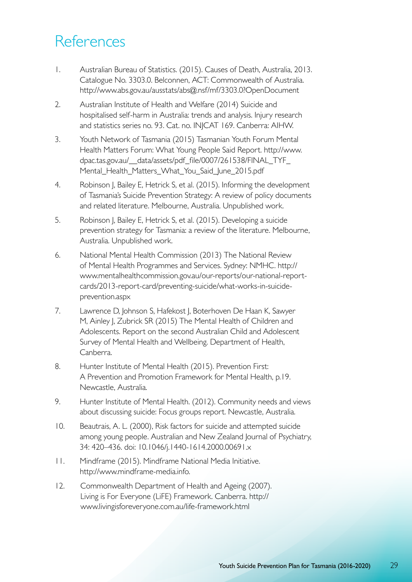# References

- 1. Australian Bureau of Statistics. (2015). Causes of Death, Australia, 2013. Catalogue No. 3303.0. Belconnen, ACT: Commonwealth of Australia. http://www.abs.gov.au/ausstats/abs@.nsf/mf/3303.0?OpenDocument
- 2. Australian Institute of Health and Welfare (2014) Suicide and hospitalised self-harm in Australia: trends and analysis. Injury research and statistics series no. 93. Cat. no. INJCAT 169. Canberra: AIHW.
- 3. Youth Network of Tasmania (2015) Tasmanian Youth Forum Mental Health Matters Forum: What Young People Said Report. http://www. dpac.tas.gov.au/\_\_data/assets/pdf\_file/0007/261538/FINAL\_TYF\_ Mental\_Health\_Matters\_What\_You\_Said\_June\_2015.pdf
- 4. Robinson J, Bailey E, Hetrick S, et al. (2015). Informing the development of Tasmania's Suicide Prevention Strategy: A review of policy documents and related literature. Melbourne, Australia. Unpublished work.
- 5. Robinson J, Bailey E, Hetrick S, et al. (2015). Developing a suicide prevention strategy for Tasmania: a review of the literature. Melbourne, Australia. Unpublished work.
- 6. National Mental Health Commission (2013) The National Review of Mental Health Programmes and Services. Sydney: NMHC. http:// www.mentalhealthcommission.gov.au/our-reports/our-national-reportcards/2013-report-card/preventing-suicide/what-works-in-suicideprevention.aspx
- 7. Lawrence D, Johnson S, Hafekost J, Boterhoven De Haan K, Sawyer M, Ainley J, Zubrick SR (2015) The Mental Health of Children and Adolescents. Report on the second Australian Child and Adolescent Survey of Mental Health and Wellbeing. Department of Health, Canberra.
- 8. Hunter Institute of Mental Health (2015). Prevention First: A Prevention and Promotion Framework for Mental Health, p.19. Newcastle, Australia.
- 9. Hunter Institute of Mental Health. (2012). Community needs and views about discussing suicide: Focus groups report. Newcastle, Australia.
- 10. Beautrais, A. L. (2000), Risk factors for suicide and attempted suicide among young people. Australian and New Zealand Journal of Psychiatry, 34: 420–436. doi: 10.1046/j.1440-1614.2000.00691.x
- 11. Mindframe (2015). Mindframe National Media Initiative. http://www.mindframe-media.info.
- 12. Commonwealth Department of Health and Ageing (2007). Living is For Everyone (LiFE) Framework. Canberra. http:// www.livingisforeveryone.com.au/life-framework.html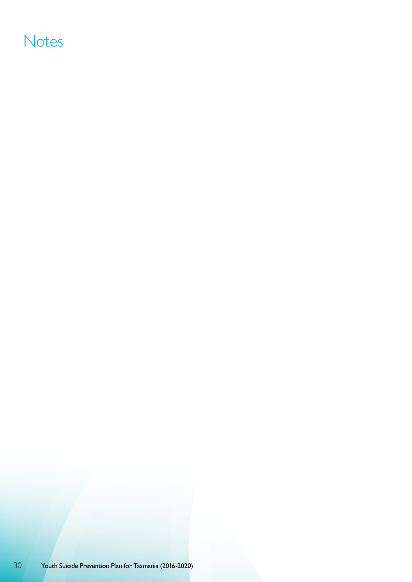# **Notes**